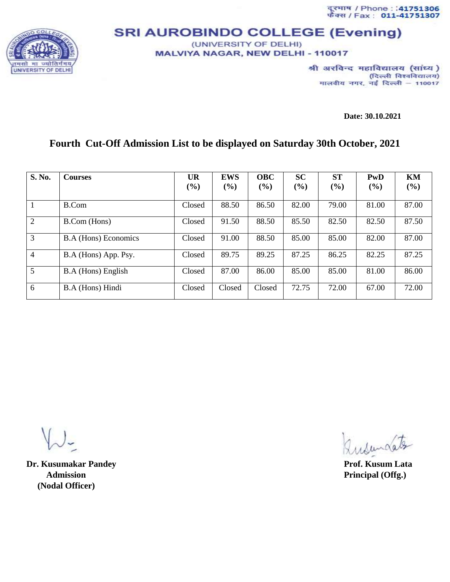दूरमाथ / Phone : :41751306<br>फैक्स / Fax : 011-41751307



## **SRI AUROBINDO COLLEGE (Evening)** (UNIVERSITY OF DELHI)

MALVIYA NAGAR, NEW DELHI - 110017

श्री अरविन्द महाविद्यालय (सांध्य) (दिल्ली विश्वविद्यालय) मालवीय नगर, नई दिल्ली - 110017

**Date: 30.10.2021**

## **Fourth Cut-Off Admission List to be displayed on Saturday 30th October, 2021**

| S. No.          | <b>Courses</b>              | <b>UR</b> | <b>EWS</b>    | <b>OBC</b> | <b>SC</b> | <b>ST</b> | PwD   | KM    |
|-----------------|-----------------------------|-----------|---------------|------------|-----------|-----------|-------|-------|
|                 |                             | (%)       | $\frac{6}{2}$ | (%)        | (%)       | (%)       | (%)   | (%)   |
|                 | B.Com                       | Closed    | 88.50         | 86.50      | 82.00     | 79.00     | 81.00 | 87.00 |
| 2               | <b>B.Com</b> (Hons)         | Closed    | 91.50         | 88.50      | 85.50     | 82.50     | 82.50 | 87.50 |
| 3               | <b>B.A</b> (Hons) Economics | Closed    | 91.00         | 88.50      | 85.00     | 85.00     | 82.00 | 87.00 |
| 4               | B.A (Hons) App. Psy.        | Closed    | 89.75         | 89.25      | 87.25     | 86.25     | 82.25 | 87.25 |
| $5\overline{)}$ | B.A (Hons) English          | Closed    | 87.00         | 86.00      | 85.00     | 85.00     | 81.00 | 86.00 |
| 6               | B.A (Hons) Hindi            | Closed    | Closed        | Closed     | 72.75     | 72.00     | 67.00 | 72.00 |

**Dr. Kusumakar Pandey Prof. Kusum Lata** *Admission* Principal (Offg.)  **(Nodal Officer)**

Insurdates